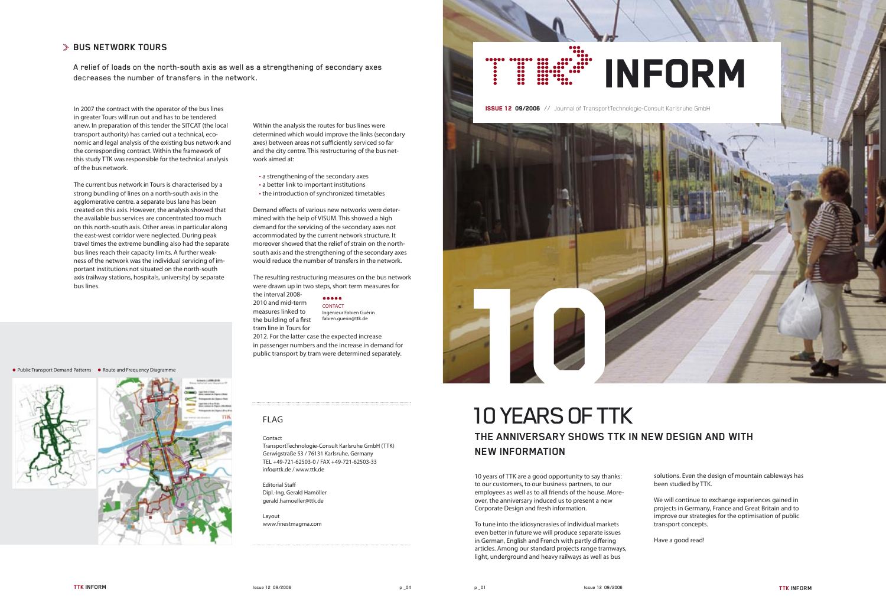In 2007 the contract with the operator of the bus lines in greater Tours will run out and has to be tendered anew. In preparation of this tender the SITCAT (the local transport authority) has carried out a technical, economic and legal analysis of the existing bus network and the corresponding contract. Within the framework of this study TTK was responsible for the technical analysis of the bus network.

The current bus network in Tours is characterised by a strong bundling of lines on a north-south axis in the agglomerative centre. a separate bus lane has been created on this axis. However, the analysis showed that the available bus services are concentrated too much on this north-south axis. Other areas in particular along the east-west corridor were neglected. During peak travel times the extreme bundling also had the separate bus lines reach their capacity limits. A further weakness of the network was the individual servicing of important institutions not situated on the north-south axis (railway stations, hospitals, university) by separate bus lines.

Demand effects of various new networks were determined with the help of VISUM. This showed a high demand for the servicing of the secondary axes not accommodated by the current network structure. It moreover showed that the relief of strain on the northsouth axis and the strengthening of the secondary axes would reduce the number of transfers in the network.

Within the analysis the routes for bus lines were determined which would improve the links (secondary axes) between areas not sufficiently serviced so far and the city centre. This restructuring of the bus network aimed at:

Layout www.finestmagma.com

# **BUS NETWORK TOURS**

A relief of loads on the north-south axis as well as a strengthening of secondary axes BUS NETWORK TOURS<br>A relief of loads on the north-south axis as well as a strengthening of secondary axes<br>decreases the number of transfers in the network.

> • a strengthening of the secondary axes • a better link to important institutions • the introduction of synchronized timetables

> > $\bullet\bullet\bullet\bullet\bullet$ CONTACT Ingénieur Fabien Guérin fabien.guerin@ttk.de

The resulting restructuring measures on the bus network were drawn up in two steps, short term measures for

the interval 2008- 2010 and mid-term measures linked to the building of a first tram line in Tours for

2012. For the latter case the expected increase in passenger numbers and the increase in demand for public transport by tram were determined separately.

# ● Public Transport Demand Patterns ● Route and Frequency Diagramm



# FLAG

#### Contact

TransportTechnologie-Consult Karlsruhe GmbH (TTK) Gerwigstraße 53 / 76131 Karlsruhe, Germany TEL +49-721-62503-0 / FAX +49-721-62503-33 info@ttk.de / www.ttk.de

Editorial Staff Dipl.-Ing. Gerald Hamöller gerald.hamoeller@ttk.de

ISSUE 12 09/2006 // Journal of TransportTechnologie-Consult Karlsruhe GmbH

10 years of TTK are a good opportunity to say thanks: to our customers, to our business partners, to our employees as well as to all friends of the house. Moreover, the anniversary induced us to present a new Corporate Design and fresh information.

To tune into the idiosyncrasies of individual markets even better in future we will produce separate issues in German, English and French with partly differing articles. Among our standard projects range tramways, light, underground and heavy railways as well as bus

solutions. Even the design of mountain cableways has been studied by TTK.

We will continue to exchange experiences gained in projects in Germany, France and Great Britain and to improve our strategies for the optimisation of public transport concepts.

Have a good read!



# 10 YEARS OF TTK **THE ANNIVERSARY SHOWS TTK IN NEW DESIGN AND WITH NEW INFORMATION**